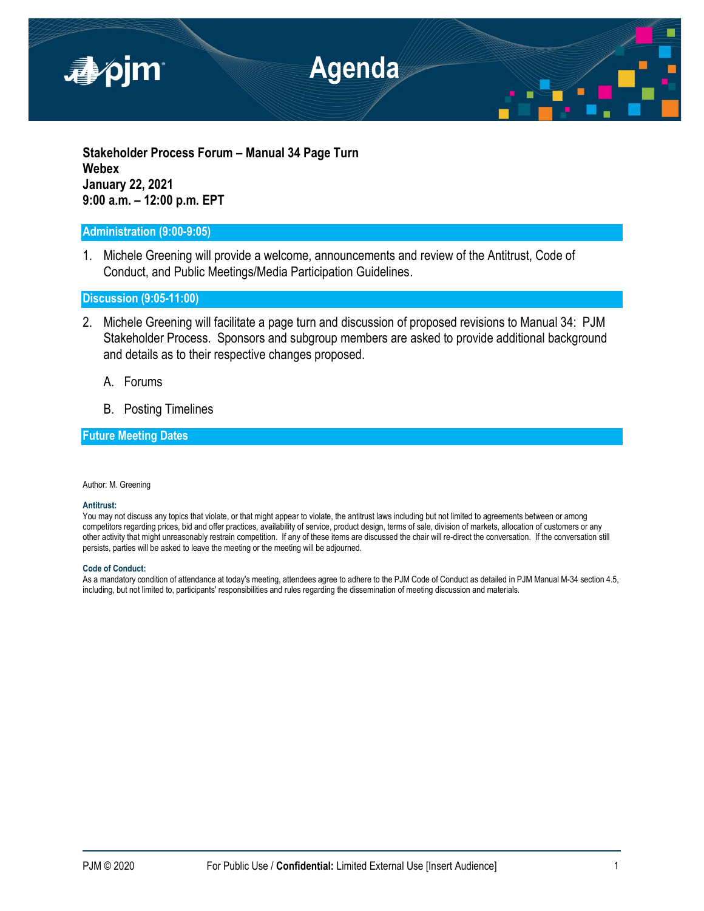

**Stakeholder Process Forum – Manual 34 Page Turn Webex January 22, 2021 9:00 a.m. – 12:00 p.m. EPT**

## **Administration (9:00-9:05)**

1. Michele Greening will provide a welcome, announcements and review of the Antitrust, Code of Conduct, and Public Meetings/Media Participation Guidelines.

**Discussion (9:05-11:00)**

- 2. Michele Greening will facilitate a page turn and discussion of proposed revisions to Manual 34: PJM Stakeholder Process. Sponsors and subgroup members are asked to provide additional background and details as to their respective changes proposed.
	- A. Forums
	- B. Posting Timelines

# **Future Meeting Dates**

Author: M. Greening

#### **Antitrust:**

You may not discuss any topics that violate, or that might appear to violate, the antitrust laws including but not limited to agreements between or among competitors regarding prices, bid and offer practices, availability of service, product design, terms of sale, division of markets, allocation of customers or any other activity that might unreasonably restrain competition. If any of these items are discussed the chair will re-direct the conversation. If the conversation still persists, parties will be asked to leave the meeting or the meeting will be adjourned.

#### **Code of Conduct:**

As a mandatory condition of attendance at today's meeting, attendees agree to adhere to the PJM Code of Conduct as detailed in PJM Manual M-34 section 4.5, including, but not limited to, participants' responsibilities and rules regarding the dissemination of meeting discussion and materials.